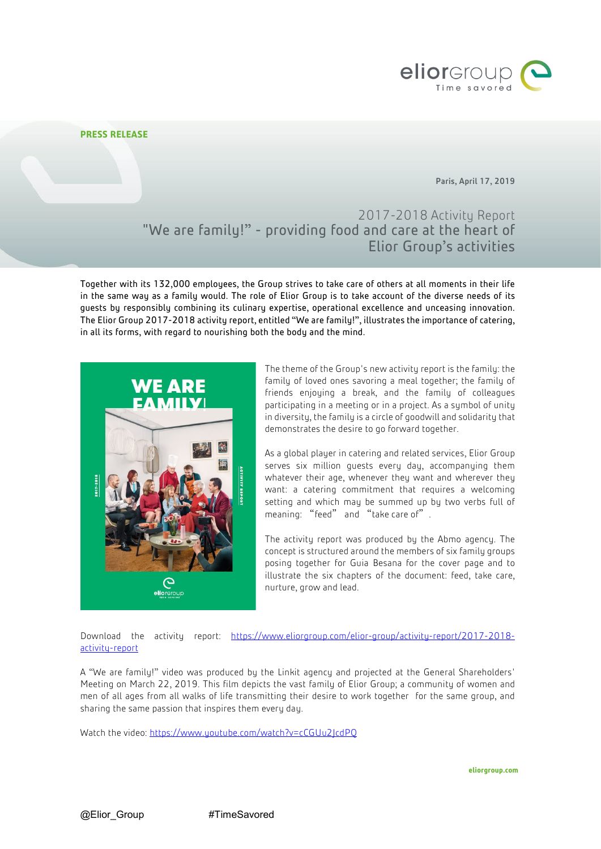

## **PRESS RELEASE**

Paris, April 17, 2019

# 2017-2018 Activity Report "We are family!" - providing food and care at the heart of Elior Group's activities

Together with its 132,000 employees, the Group strives to take care of others at all moments in their life in the same way as a family would. The role of Elior Group is to take account of the diverse needs of its guests by responsibly combining its culinary expertise, operational excellence and unceasing innovation. The Elior Group 2017-2018 activity report, entitled "We are family!", illustrates the importance of catering, in all its forms, with regard to nourishing both the body and the mind.



The theme of the Group's new activity report is the family: the family of loved ones savoring a meal together; the family of friends enjoying a break, and the family of colleagues participating in a meeting or in a project. As a symbol of unity in diversity, the family is a circle of goodwill and solidarity that demonstrates the desire to go forward together.

As a global player in catering and related services, Elior Group serves six million guests every day, accompanying them whatever their age, whenever they want and wherever they want: a catering commitment that requires a welcoming setting and which may be summed up by two verbs full of meaning: "feed" and "take care of".

The activity report was produced by the Abmo agency. The concept is structured around the members of six family groups posing together for Guia Besana for the cover page and to illustrate the six chapters of the document: feed, take care, nurture, grow and lead.

Download the activity report: [https://www.eliorgroup.com/elior-group/activity-report/2017-2018](https://www.eliorgroup.com/elior-group/activity-report/2017-2018-activity-report) [activity-report](https://www.eliorgroup.com/elior-group/activity-report/2017-2018-activity-report)

A "We are family!" video was produced by the Linkit agency and projected at the General Shareholders' Meeting on March 22, 2019. This film depicts the vast family of Elior Group; a community of women and men of all ages from all walks of life transmitting their desire to work together for the same group, and sharing the same passion that inspires them every day.

Watch the video: https://www.youtube.com/watch?v=cCGUu2IcdPO